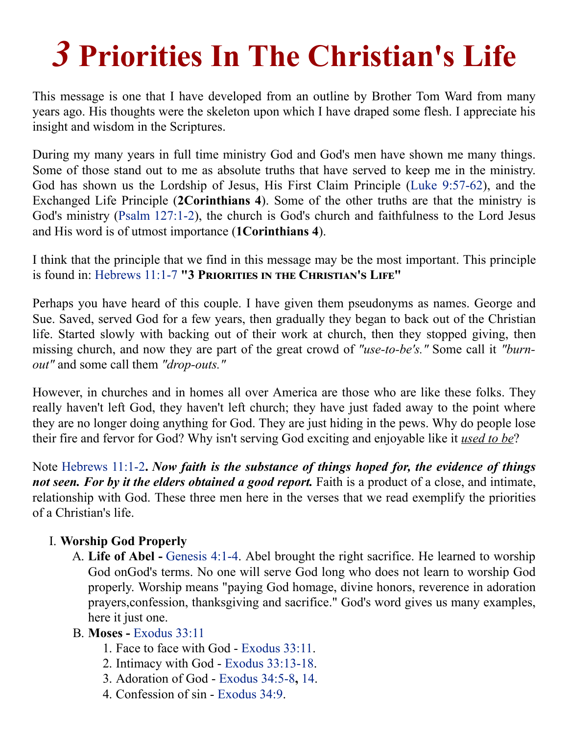## *3* **Priorities In The Christian's Life**

This message is one that I have developed from an outline by Brother Tom Ward from many years ago. His thoughts were the skeleton upon which I have draped some flesh. I appreciate his insight and wisdom in the Scriptures.

During my many years in full time ministry God and God's men have shown me many things. Some of those stand out to me as absolute truths that have served to keep me in the ministry. God has shown us the Lordship of Jesus, His First Claim Principle (Luke [9:57-62](http://av1611.com/verseclick/gobible.php?p=Luke_9.57-62)), and the Exchanged Life Principle (**2Corinthians 4**). Some of the other truths are that the ministry is God's ministry (Psalm [127:1-2\)](http://av1611.com/verseclick/gobible.php?p=Psalm_127.1-2), the church is God's church and faithfulness to the Lord Jesus and His word is of utmost importance (**1Corinthians 4**).

I think that the principle that we find in this message may be the most important. This principle is found in: [Hebrews](http://av1611.com/verseclick/gobible.php?p=Hebrews_11.1-7) 11:1-7 "3 PRIORITIES IN THE CHRISTIAN'S LIFE"

Perhaps you have heard of this couple. I have given them pseudonyms as names. George and Sue. Saved, served God for a few years, then gradually they began to back out of the Christian life. Started slowly with backing out of their work at church, then they stopped giving, then missing church, and now they are part of the great crowd of *"use-to-be's."* Some call it *"burnout"* and some call them *"drop-outs."*

However, in churches and in homes all over America are those who are like these folks. They really haven't left God, they haven't left church; they have just faded away to the point where they are no longer doing anything for God. They are just hiding in the pews. Why do people lose their fire and fervor for God? Why isn't serving God exciting and enjoyable like it *used to be*?

Note [Hebrews](http://av1611.com/verseclick/gobible.php?p=Hebrews_11.1-2) 11:1-2**.** *Now faith is the substance of things hoped for, the evidence of things not seen. For by it the elders obtained a good report.* Faith is a product of a close, and intimate, relationship with God. These three men here in the verses that we read exemplify the priorities of a Christian's life.

## I. **Worship God Properly**

A. **Life of Abel -** [Genesis](http://av1611.com/verseclick/gobible.php?p=Genesis_4.1-4) 4:1-4. Abel brought the right sacrifice. He learned to worship God onGod's terms. No one will serve God long who does not learn to worship God properly. Worship means "paying God homage, divine honors, reverence in adoration prayers,confession, thanksgiving and sacrifice." God's word gives us many examples, here it just one.

## B. **Moses -** [Exodus](http://av1611.com/verseclick/gobible.php?p=Exodus_33.11) 33:11

- 1. Face to face with God [Exodus](http://av1611.com/verseclick/gobible.php?p=Exodus_33.11) 33:11.
- 2. Intimacy with God Exodus [33:13-18.](http://av1611.com/verseclick/gobible.php?p=Exodus_33.13-18)
- 3. Adoration of God [Exodus](http://av1611.com/verseclick/gobible.php?p=Exodus_34.5-8) 34:5-8**,** [14.](http://av1611.com/verseclick/gobible.php?p=Exodus_34.14)
- 4. Confession of sin [Exodus](http://av1611.com/verseclick/gobible.php?p=Exodus_34.9) 34:9.